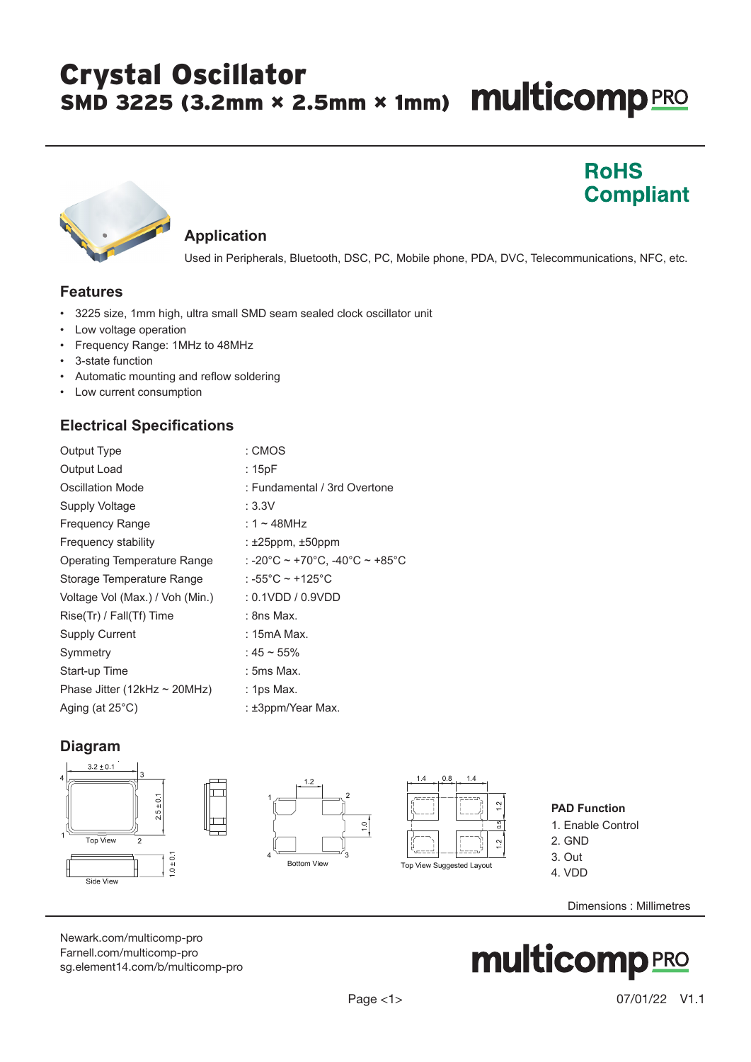# Crystal Oscillator SMD 3225 (3.2mm × 2.5mm × 1mm) **Multicomp** PRO

## **RoHS Compliant**



#### **Application**

Used in Peripherals, Bluetooth, DSC, PC, Mobile phone, PDA, DVC, Telecommunications, NFC, etc.

#### **Features**

- 3225 size, 1mm high, ultra small SMD seam sealed clock oscillator unit
- Low voltage operation
- Frequency Range: 1MHz to 48MHz
- 3-state function
- Automatic mounting and reflow soldering
- Low current consumption

#### **Electrical Specifications**

| <b>Output Type</b>                | : CMOS                         |
|-----------------------------------|--------------------------------|
| Output Load                       | : 15pF                         |
| Oscillation Mode                  | : Fundamental / 3rd Overtone   |
| Supply Voltage                    | : 3.3V                         |
| Frequency Range                   | : 1 ~ 48MHz                    |
| Frequency stability               | : $\pm 25$ ppm, $\pm 50$ ppm   |
| Operating Temperature Range       | : -20°C ~ +70°C. -40°C ~ +85°C |
| Storage Temperature Range         | : -55°C ~ +125°C               |
| Voltage Vol (Max.) / Voh (Min.)   | $: 0.1$ VDD / $0.9$ VDD        |
| Rise(Tr) / Fall(Tf) Time          | $:$ 8ns Max.                   |
| <b>Supply Current</b>             | : 15mA Max.                    |
| Symmetry                          | : 45 $\sim$ 55%                |
| Start-up Time                     | : 5ms Max.                     |
| Phase Jitter (12kHz $\sim$ 20MHz) | : 1ps Max.                     |
| Aging (at $25^{\circ}$ C)         | : ±3ppm/Year Max.              |

### **Diagram**







#### **PAD Function**

- 1. Enable Control
- 2. GND
- 3. Out
- 4. VDD

Dimensions : Millimetres

[Newark.com/multicomp-](https://www.newark.com/multicomp-pro)pro [Farnell.com/multicomp](https://www.farnell.com/multicomp-pro)-pro sg.element14.com/b/multicomp-pro

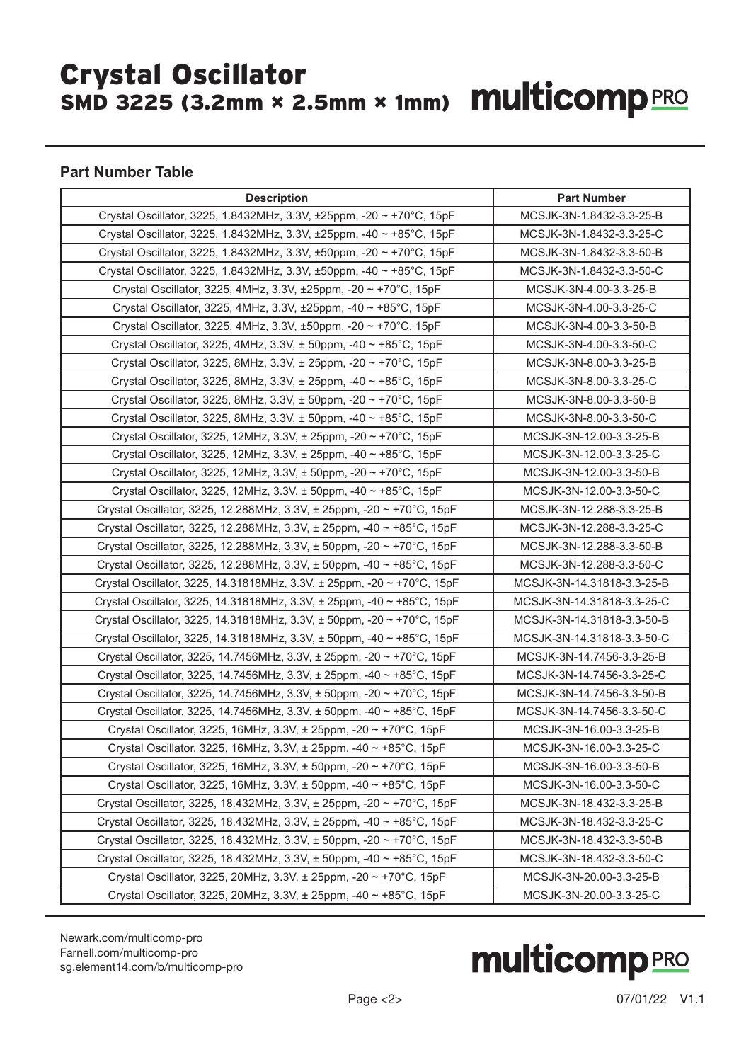# Crystal Oscillator SMD 3225 (3.2mm × 2.5mm × 1mm)

#### **Part Number Table**

| <b>Description</b>                                                          | <b>Part Number</b>         |
|-----------------------------------------------------------------------------|----------------------------|
| Crystal Oscillator, 3225, 1.8432MHz, 3.3V, ±25ppm, -20 ~ +70°C, 15pF        | MCSJK-3N-1.8432-3.3-25-B   |
| Crystal Oscillator, 3225, 1.8432MHz, 3.3V, ±25ppm, -40 ~ +85°C, 15pF        | MCSJK-3N-1.8432-3.3-25-C   |
| Crystal Oscillator, 3225, 1.8432MHz, 3.3V, ±50ppm, -20 ~ +70°C, 15pF        | MCSJK-3N-1.8432-3.3-50-B   |
| Crystal Oscillator, 3225, 1.8432MHz, 3.3V, ±50ppm, -40 ~ +85°C, 15pF        | MCSJK-3N-1.8432-3.3-50-C   |
| Crystal Oscillator, 3225, 4MHz, 3.3V, ±25ppm, -20 ~ +70°C, 15pF             | MCSJK-3N-4.00-3.3-25-B     |
| Crystal Oscillator, 3225, 4MHz, 3.3V, ±25ppm, -40 ~ +85°C, 15pF             | MCSJK-3N-4.00-3.3-25-C     |
| Crystal Oscillator, 3225, 4MHz, 3.3V, ±50ppm, -20 ~ +70°C, 15pF             | MCSJK-3N-4.00-3.3-50-B     |
| Crystal Oscillator, 3225, 4MHz, 3.3V, ± 50ppm, -40 ~ +85°C, 15pF            | MCSJK-3N-4.00-3.3-50-C     |
| Crystal Oscillator, 3225, 8MHz, 3.3V, ± 25ppm, -20 ~ +70°C, 15pF            | MCSJK-3N-8.00-3.3-25-B     |
| Crystal Oscillator, 3225, 8MHz, 3.3V, ± 25ppm, -40 ~ +85°C, 15pF            | MCSJK-3N-8.00-3.3-25-C     |
| Crystal Oscillator, 3225, 8MHz, 3.3V, ± 50ppm, -20 ~ +70°C, 15pF            | MCSJK-3N-8.00-3.3-50-B     |
| Crystal Oscillator, 3225, 8MHz, 3.3V, ± 50ppm, -40 ~ +85°C, 15pF            | MCSJK-3N-8.00-3.3-50-C     |
| Crystal Oscillator, 3225, 12MHz, 3.3V, ± 25ppm, -20 ~ +70°C, 15pF           | MCSJK-3N-12.00-3.3-25-B    |
| Crystal Oscillator, 3225, 12MHz, 3.3V, ± 25ppm, -40 ~ +85°C, 15pF           | MCSJK-3N-12.00-3.3-25-C    |
| Crystal Oscillator, 3225, 12MHz, 3.3V, ± 50ppm, -20 ~ +70°C, 15pF           | MCSJK-3N-12.00-3.3-50-B    |
| Crystal Oscillator, 3225, 12MHz, 3.3V, ± 50ppm, -40 ~ +85°C, 15pF           | MCSJK-3N-12.00-3.3-50-C    |
| Crystal Oscillator, 3225, 12.288MHz, 3.3V, ± 25ppm, -20 ~ +70°C, 15pF       | MCSJK-3N-12.288-3.3-25-B   |
| Crystal Oscillator, 3225, 12.288MHz, 3.3V, ± 25ppm, -40 ~ +85°C, 15pF       | MCSJK-3N-12.288-3.3-25-C   |
| Crystal Oscillator, 3225, 12.288MHz, 3.3V, ± 50ppm, -20 ~ +70°C, 15pF       | MCSJK-3N-12.288-3.3-50-B   |
| Crystal Oscillator, 3225, 12.288MHz, 3.3V, ± 50ppm, -40 ~ +85°C, 15pF       | MCSJK-3N-12.288-3.3-50-C   |
| Crystal Oscillator, 3225, 14.31818MHz, 3.3V, ± 25ppm, -20 ~ +70°C, 15pF     | MCSJK-3N-14.31818-3.3-25-B |
| Crystal Oscillator, 3225, 14.31818MHz, 3.3V, ± 25ppm, -40 ~ +85°C, 15pF     | MCSJK-3N-14.31818-3.3-25-C |
| Crystal Oscillator, 3225, 14.31818MHz, 3.3V, $\pm$ 50ppm, -20 ~ +70°C, 15pF | MCSJK-3N-14.31818-3.3-50-B |
| Crystal Oscillator, 3225, 14.31818MHz, 3.3V, ± 50ppm, -40 ~ +85°C, 15pF     | MCSJK-3N-14.31818-3.3-50-C |
| Crystal Oscillator, 3225, 14.7456MHz, 3.3V, ± 25ppm, -20 ~ +70°C, 15pF      | MCSJK-3N-14.7456-3.3-25-B  |
| Crystal Oscillator, 3225, 14.7456MHz, 3.3V, ± 25ppm, -40 ~ +85°C, 15pF      | MCSJK-3N-14.7456-3.3-25-C  |
| Crystal Oscillator, 3225, 14.7456MHz, 3.3V, ± 50ppm, -20 ~ +70°C, 15pF      | MCSJK-3N-14.7456-3.3-50-B  |
| Crystal Oscillator, 3225, 14.7456MHz, 3.3V, ± 50ppm, -40 ~ +85°C, 15pF      | MCSJK-3N-14.7456-3.3-50-C  |
| Crystal Oscillator, 3225, 16MHz, 3.3V, ± 25ppm, -20 ~ +70°C, 15pF           | MCSJK-3N-16.00-3.3-25-B    |
| Crystal Oscillator, 3225, 16MHz, 3.3V, ± 25ppm, -40 ~ +85°C, 15pF           | MCSJK-3N-16.00-3.3-25-C    |
| Crystal Oscillator, 3225, 16MHz, 3.3V, ± 50ppm, -20 ~ +70°C, 15pF           | MCSJK-3N-16.00-3.3-50-B    |
| Crystal Oscillator, 3225, 16MHz, 3.3V, ± 50ppm, -40 ~ +85°C, 15pF           | MCSJK-3N-16.00-3.3-50-C    |
| Crystal Oscillator, 3225, 18.432MHz, 3.3V, ± 25ppm, -20 ~ +70°C, 15pF       | MCSJK-3N-18.432-3.3-25-B   |
| Crystal Oscillator, 3225, 18.432MHz, 3.3V, ± 25ppm, -40 ~ +85°C, 15pF       | MCSJK-3N-18.432-3.3-25-C   |
| Crystal Oscillator, 3225, 18.432MHz, 3.3V, ± 50ppm, -20 ~ +70°C, 15pF       | MCSJK-3N-18.432-3.3-50-B   |
| Crystal Oscillator, 3225, 18.432MHz, 3.3V, ± 50ppm, -40 ~ +85°C, 15pF       | MCSJK-3N-18.432-3.3-50-C   |
| Crystal Oscillator, 3225, 20MHz, 3.3V, ± 25ppm, -20 ~ +70°C, 15pF           | MCSJK-3N-20.00-3.3-25-B    |
| Crystal Oscillator, 3225, 20MHz, 3.3V, ± 25ppm, -40 ~ +85°C, 15pF           | MCSJK-3N-20.00-3.3-25-C    |

[Newark.com/multicomp-](https://www.newark.com/multicomp-pro)pro [Farnell.com/multicomp](https://www.farnell.com/multicomp-pro)-pro [sg.element14.com/b/multicomp-pro](https://sg.element14.com/b/multicomp-pro)